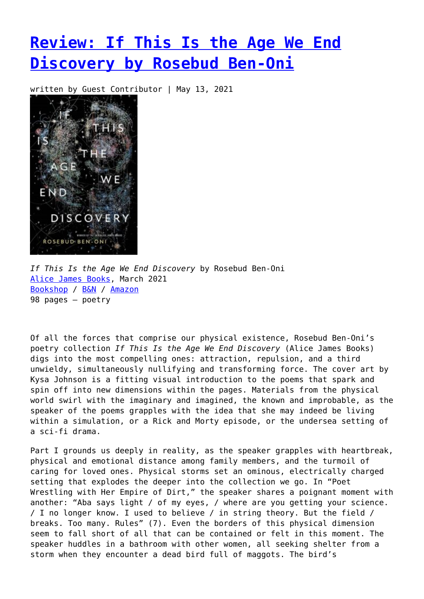## **[Review: If This Is the Age We End](https://entropymag.org/review-if-this-is-the-age-we-end-discovery-by-rosebud-ben-oni/) [Discovery by Rosebud Ben-Oni](https://entropymag.org/review-if-this-is-the-age-we-end-discovery-by-rosebud-ben-oni/)**

written by Guest Contributor | May 13, 2021



*If This Is the Age We End Discovery* by Rosebud Ben-Oni [Alice James Books](https://www.alicejamesbooks.org/bookstore/if-this-is-the-age-we-end-discovery), March 2021 [Bookshop](https://bookshop.org/books/if-this-is-the-age-we-end-discovery/9781948579155?aid=3601) / [B&N](https://www.barnesandnoble.com/w/if-this-is-the-age-we-end-discovery-rosebud-ben-oni/1136543522) / [Amazon](https://amzn.to/3y9ZVPo) 98 pages — poetry

Of all the forces that comprise our physical existence, Rosebud Ben-Oni's poetry collection *If This Is the Age We End Discovery* (Alice James Books) digs into the most compelling ones: attraction, repulsion, and a third unwieldy, simultaneously nullifying and transforming force. The cover art by Kysa Johnson is a fitting visual introduction to the poems that spark and spin off into new dimensions within the pages. Materials from the physical world swirl with the imaginary and imagined, the known and improbable, as the speaker of the poems grapples with the idea that she may indeed be living within a simulation, or a Rick and Morty episode, or the undersea setting of a sci-fi drama.

Part I grounds us deeply in reality, as the speaker grapples with heartbreak, physical and emotional distance among family members, and the turmoil of caring for loved ones. Physical storms set an ominous, electrically charged setting that explodes the deeper into the collection we go. In "Poet Wrestling with Her Empire of Dirt," the speaker shares a poignant moment with another: "Aba says light / of my eyes, / where are you getting your science. / I no longer know. I used to believe / in string theory. But the field / breaks. Too many. Rules" (7). Even the borders of this physical dimension seem to fall short of all that can be contained or felt in this moment. The speaker huddles in a bathroom with other women, all seeking shelter from a storm when they encounter a dead bird full of maggots. The bird's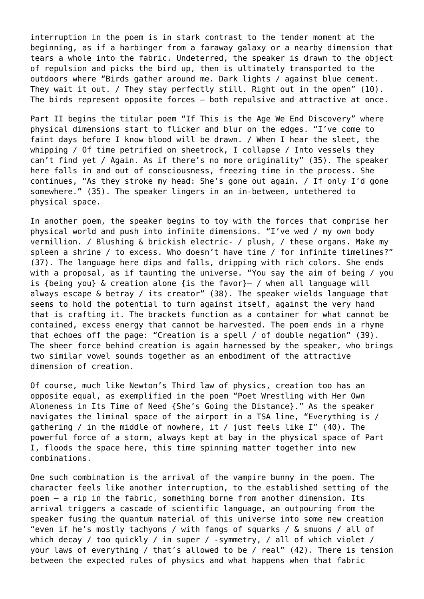interruption in the poem is in stark contrast to the tender moment at the beginning, as if a harbinger from a faraway galaxy or a nearby dimension that tears a whole into the fabric. Undeterred, the speaker is drawn to the object of repulsion and picks the bird up, then is ultimately transported to the outdoors where "Birds gather around me. Dark lights / against blue cement. They wait it out. / They stay perfectly still. Right out in the open" (10). The birds represent opposite forces — both repulsive and attractive at once.

Part II begins the titular poem "If This is the Age We End Discovery" where physical dimensions start to flicker and blur on the edges. "I've come to faint days before I know blood will be drawn. / When I hear the sleet, the whipping / Of time petrified on sheetrock, I collapse / Into vessels they can't find yet / Again. As if there's no more originality" (35). The speaker here falls in and out of consciousness, freezing time in the process. She continues, "As they stroke my head: She's gone out again. / If only I'd gone somewhere." (35). The speaker lingers in an in-between, untethered to physical space.

In another poem, the speaker begins to toy with the forces that comprise her physical world and push into infinite dimensions. "I've wed / my own body vermillion. / Blushing & brickish electric- / plush, / these organs. Make my spleen a shrine / to excess. Who doesn't have time / for infinite timelines?" (37). The language here dips and falls, dripping with rich colors. She ends with a proposal, as if taunting the universe. "You say the aim of being / you is {being you} & creation alone {is the favor}— / when all language will always escape & betray / its creator" (38). The speaker wields language that seems to hold the potential to turn against itself, against the very hand that is crafting it. The brackets function as a container for what cannot be contained, excess energy that cannot be harvested. The poem ends in a rhyme that echoes off the page: "Creation is a spell / of double negation" (39). The sheer force behind creation is again harnessed by the speaker, who brings two similar vowel sounds together as an embodiment of the attractive dimension of creation.

Of course, much like Newton's Third law of physics, creation too has an opposite equal, as exemplified in the poem "Poet Wrestling with Her Own Aloneness in Its Time of Need {She's Going the Distance}." As the speaker navigates the liminal space of the airport in a TSA line, "Everything is / gathering / in the middle of nowhere, it / just feels like I" (40). The powerful force of a storm, always kept at bay in the physical space of Part I, floods the space here, this time spinning matter together into new combinations.

One such combination is the arrival of the vampire bunny in the poem. The character feels like another interruption, to the established setting of the poem — a rip in the fabric, something borne from another dimension. Its arrival triggers a cascade of scientific language, an outpouring from the speaker fusing the quantum material of this universe into some new creation "even if he's mostly tachyons / with fangs of squarks / & smuons / all of which decay / too quickly / in super / -symmetry, / all of which violet / your laws of everything / that's allowed to be / real" (42). There is tension between the expected rules of physics and what happens when that fabric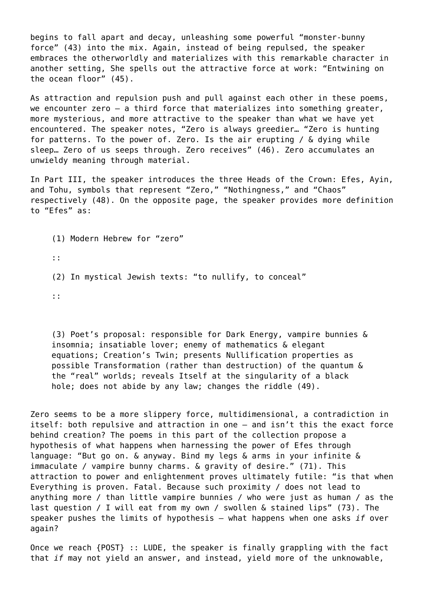begins to fall apart and decay, unleashing some powerful "monster-bunny force" (43) into the mix. Again, instead of being repulsed, the speaker embraces the otherworldly and materializes with this remarkable character in another setting, She spells out the attractive force at work: "Entwining on the ocean floor" (45).

As attraction and repulsion push and pull against each other in these poems, we encounter zero - a third force that materializes into something greater, more mysterious, and more attractive to the speaker than what we have yet encountered. The speaker notes, "Zero is always greedier… "Zero is hunting for patterns. To the power of. Zero. Is the air erupting / & dying while sleep… Zero of us seeps through. Zero receives" (46). Zero accumulates an unwieldy meaning through material.

In Part III, the speaker introduces the three Heads of the Crown: Efes, Ayin, and Tohu, symbols that represent "Zero," "Nothingness," and "Chaos" respectively (48). On the opposite page, the speaker provides more definition to "Efes" as:

(1) Modern Hebrew for "zero" :: (2) In mystical Jewish texts: "to nullify, to conceal" ::

(3) Poet's proposal: responsible for Dark Energy, vampire bunnies & insomnia; insatiable lover; enemy of mathematics & elegant equations; Creation's Twin; presents Nullification properties as possible Transformation (rather than destruction) of the quantum & the "real" worlds; reveals Itself at the singularity of a black hole; does not abide by any law; changes the riddle (49).

Zero seems to be a more slippery force, multidimensional, a contradiction in itself: both repulsive and attraction in one — and isn't this the exact force behind creation? The poems in this part of the collection propose a hypothesis of what happens when harnessing the power of Efes through language: "But go on. & anyway. Bind my legs & arms in your infinite & immaculate / vampire bunny charms. & gravity of desire." (71). This attraction to power and enlightenment proves ultimately futile: "is that when Everything is proven. Fatal. Because such proximity / does not lead to anything more / than little vampire bunnies / who were just as human / as the last question / I will eat from my own / swollen & stained lips" (73). The speaker pushes the limits of hypothesis — what happens when one asks *if* over again?

Once we reach {POST} :: LUDE, the speaker is finally grappling with the fact that *if* may not yield an answer, and instead, yield more of the unknowable,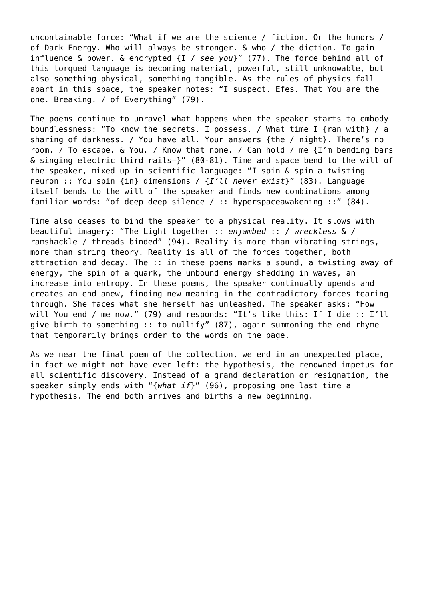uncontainable force: "What if we are the science / fiction. Or the humors / of Dark Energy. Who will always be stronger. & who / the diction. To gain influence & power. & encrypted {I / *see you*}" (77). The force behind all of this torqued language is becoming material, powerful, still unknowable, but also something physical, something tangible. As the rules of physics fall apart in this space, the speaker notes: "I suspect. Efes. That You are the one. Breaking. / of Everything" (79).

The poems continue to unravel what happens when the speaker starts to embody boundlessness: "To know the secrets. I possess. / What time I {ran with} / a sharing of darkness. / You have all. Your answers {the / night}. There's no room. / To escape. & You. / Know that none. / Can hold / me {I'm bending bars & singing electric third rails—}" (80-81). Time and space bend to the will of the speaker, mixed up in scientific language: "I spin & spin a twisting neuron :: You spin {in} dimensions / {*I'll never exist*}" (83). Language itself bends to the will of the speaker and finds new combinations among familiar words: "of deep deep silence / :: hyperspaceawakening ::" (84).

Time also ceases to bind the speaker to a physical reality. It slows with beautiful imagery: "The Light together :: *enjambed* :: / *wreckless* & / ramshackle / threads binded" (94). Reality is more than vibrating strings, more than string theory. Reality is all of the forces together, both attraction and decay. The :: in these poems marks a sound, a twisting away of energy, the spin of a quark, the unbound energy shedding in waves, an increase into entropy. In these poems, the speaker continually upends and creates an end anew, finding new meaning in the contradictory forces tearing through. She faces what she herself has unleashed. The speaker asks: "How will You end / me now." (79) and responds: "It's like this: If I die :: I'll give birth to something :: to nullify" (87), again summoning the end rhyme that temporarily brings order to the words on the page.

As we near the final poem of the collection, we end in an unexpected place, in fact we might not have ever left: the hypothesis, the renowned impetus for all scientific discovery. Instead of a grand declaration or resignation, the speaker simply ends with "{*what if*}" (96), proposing one last time a hypothesis. The end both arrives and births a new beginning.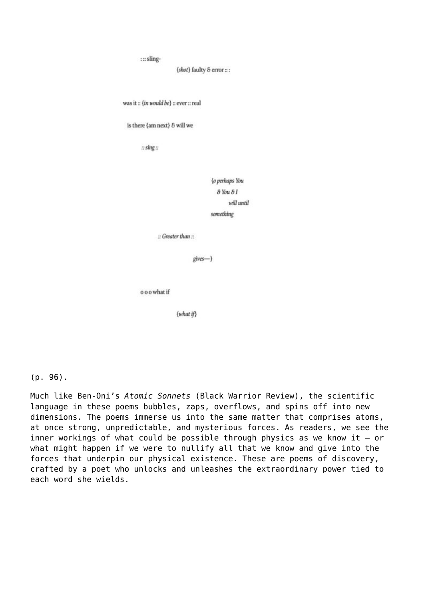```
::sling-
```
{shot} faulty & error :: :

```
was it :: {in would be} :: ever :: real
```
is there {am next} & will we

 $::sing ::$ 

{o perhaps You  $\delta$  You  $\delta$  I will until something

:: Greater than ::

 $gives -$ }

o o o what if

 $\{what if\}$ 

 $(p. 96)$ .

Much like Ben-Oni's Atomic Sonnets (Black Warrior Review), the scientific language in these poems bubbles, zaps, overflows, and spins off into new dimensions. The poems immerse us into the same matter that comprises atoms, at once strong, unpredictable, and mysterious forces. As readers, we see the inner workings of what could be possible through physics as we know it  $-$  or what might happen if we were to nullify all that we know and give into the forces that underpin our physical existence. These are poems of discovery, crafted by a poet who unlocks and unleashes the extraordinary power tied to each word she wields.